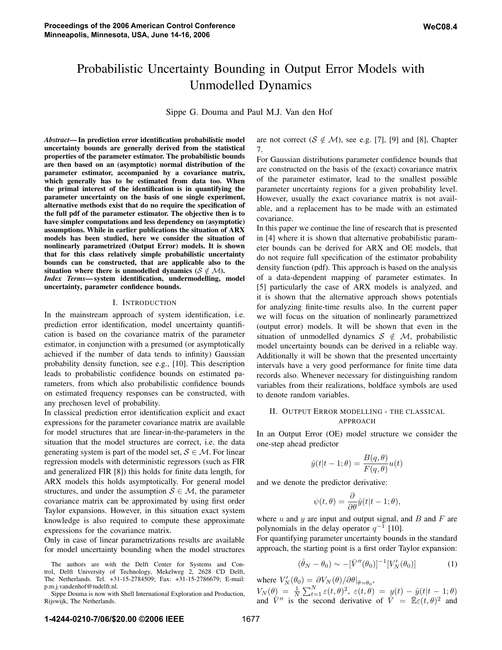# Probabilistic Uncertainty Bounding in Output Error Models with Unmodelled Dynamics

Sippe G. Douma and Paul M.J. Van den Hof

*Abstract***— In prediction error identification probabilistic model uncertainty bounds are generally derived from the statistical properties of the parameter estimator. The probabilistic bounds are then based on an (asymptotic) normal distribution of the parameter estimator, accompanied by a covariance matrix, which generally has to be estimated from data too. When the primal interest of the identification is in quantifying the parameter uncertainty on the basis of one single experiment, alternative methods exist that do no require the specification of the full pdf of the parameter estimator. The objective then is to have simpler computations and less dependency on (asymptotic) assumptions. While in earlier publications the situation of ARX models has been studied, here we consider the situation of nonlinearly parametrized (Output Error) models. It is shown that for this class relatively simple probabilistic uncertainty bounds can be constructed, that are applicable also to the situation where there is unmodelled dynamics (** $S \notin M$ **).** *Index Terms***— system identification, undermodelling, model uncertainty, parameter confidence bounds.**

#### I. INTRODUCTION

In the mainstream approach of system identification, i.e. prediction error identification, model uncertainty quantification is based on the covariance matrix of the parameter estimator, in conjunction with a presumed (or asymptotically achieved if the number of data tends to infinity) Gaussian probability density function, see e.g., [10]. This description leads to probabilistic confidence bounds on estimated parameters, from which also probabilistic confidence bounds on estimated frequency responses can be constructed, with any prechosen level of probability.

In classical prediction error identification explicit and exact expressions for the parameter covariance matrix are available for model structures that are linear-in-the-parameters in the situation that the model structures are correct, i.e. the data generating system is part of the model set,  $S \in \mathcal{M}$ . For linear regression models with deterministic regressors (such as FIR and generalized FIR [8]) this holds for finite data length, for ARX models this holds asymptotically. For general model structures, and under the assumption  $S \in \mathcal{M}$ , the parameter covariance matrix can be approximated by using first order Taylor expansions. However, in this situation exact system knowledge is also required to compute these approximate expressions for the covariance matrix.

Only in case of linear parametrizations results are available for model uncertainty bounding when the model structures are not correct ( $S \notin \mathcal{M}$ ), see e.g. [7], [9] and [8], Chapter 7.

For Gaussian distributions parameter confidence bounds that are constructed on the basis of the (exact) covariance matrix of the parameter estimator, lead to the smallest possible parameter uncertainty regions for a given probability level. However, usually the exact covariance matrix is not available, and a replacement has to be made with an estimated covariance.

In this paper we continue the line of research that is presented in [4] where it is shown that alternative probabilistic parameter bounds can be derived for ARX and OE models, that do not require full specification of the estimator probability density function (pdf). This approach is based on the analysis of a data-dependent mapping of parameter estimates. In [5] particularly the case of ARX models is analyzed, and it is shown that the alternative approach shows potentials for analyzing finite-time results also. In the current paper we will focus on the situation of nonlinearly parametrized (output error) models. It will be shown that even in the situation of unmodelled dynamics  $S \notin M$ , probabilistic model uncertainty bounds can be derived in a reliable way. Additionally it will be shown that the presented uncertainty intervals have a very good performance for finite time data records also. Whenever necessary for distinguishing random variables from their realizations, boldface symbols are used to denote random variables.

# II. OUTPUT ERROR MODELLING - THE CLASSICAL APPROACH

In an Output Error (OE) model structure we consider the one-step ahead predictor

$$
\hat{y}(t|t-1;\theta) = \frac{B(q,\theta)}{F(q,\theta)}u(t)
$$

and we denote the predictor derivative:

$$
\psi(t,\theta) = \frac{\partial}{\partial \theta} \hat{y}(t|t-1;\theta),
$$

where  $u$  and  $y$  are input and output signal, and  $B$  and  $F$  are polynomials in the delay operator  $q^{-1}$  [10].

For quantifying parameter uncertainty bounds in the standard approach, the starting point is a first order Taylor expansion:

$$
(\hat{\theta}_N - \theta_0) \sim -[\bar{V}''(\theta_0)]^{-1}[V_N'(\theta_0)] \tag{1}
$$

where  $V_N'(\theta_0) = \frac{\partial V_N(\theta)}{\partial \theta}\Big|_{\theta=\theta_0}$ ,

 $V_N(\theta) = \frac{1}{N} \sum_{t=1}^N \varepsilon(t,\theta)^2$ ,  $\varepsilon(t,\theta) = y(t) - \hat{y}(t|t-1;\theta)$ and  $\overline{V}$ <sup>*i*</sup> is the second derivative of  $\overline{V} = \overline{\mathbb{E}} \varepsilon(t,\theta)^2$  and

The authors are with the Delft Center for Systems and Control, Delft University of Technology, Mekelweg 2, 2628 CD Delft, The Netherlands. Tel. +31-15-2784509; Fax: +31-15-2786679; E-mail: p.m.j.vandenhof@tudelft.nl.

Sippe Douma is now with Shell International Exploration and Production, Rijswijk, The Netherlands.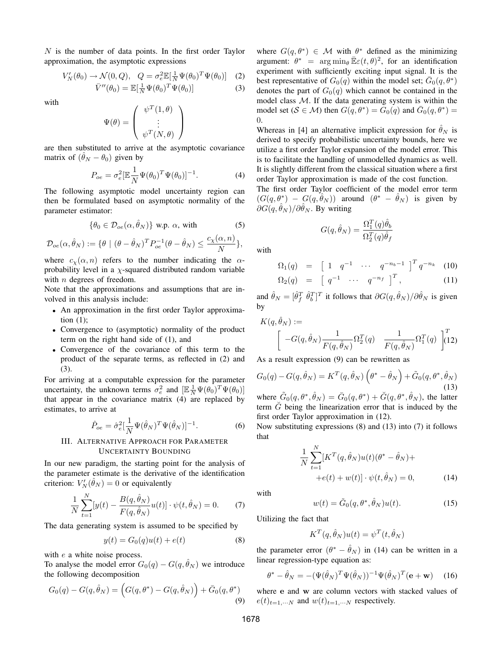N is the number of data points. In the first order Taylor approximation, the asymptotic expressions

$$
V_N'(\theta_0) \to \mathcal{N}(0, Q), \quad Q = \sigma_e^2 \mathbb{E}[\frac{1}{N} \Psi(\theta_0)^T \Psi(\theta_0)] \quad (2)
$$
  

$$
\bar{V}''(\theta_0) = \mathbb{E}[\frac{1}{N} \Psi(\theta_0)^T \Psi(\theta_0)] \quad (3)
$$

with

$$
\Psi(\theta) = \begin{pmatrix} \psi^T(1,\theta) \\ \vdots \\ \psi^T(N,\theta) \end{pmatrix}
$$

are then substituted to arrive at the asymptotic covariance matrix of  $(\hat{\theta}_N - \theta_0)$  given by

$$
P_{oe} = \sigma_e^2 [\mathbb{E}\frac{1}{N}\Psi(\theta_0)^T\Psi(\theta_0)]^{-1}.
$$
 (4)

The following asymptotic model uncertainty region can then be formulated based on asymptotic normality of the parameter estimator:

$$
\{\theta_0 \in \mathcal{D}_{oe}(\alpha, \hat{\theta}_N)\} \text{ w.p. } \alpha \text{, with } (5)
$$

$$
\mathcal{D}_{oe}(\alpha, \hat{\theta}_N) := \{ \theta \mid (\theta - \hat{\theta}_N)^T P_{oe}^{-1} (\theta - \hat{\theta}_N) \le \frac{c_\chi(\alpha, n)}{N} \},
$$

where  $c_{\chi}(\alpha, n)$  refers to the number indicating the  $\alpha$ probability level in a  $\chi$ -squared distributed random variable with  $n$  degrees of freedom.

Note that the approximations and assumptions that are involved in this analysis include:

- An approximation in the first order Taylor approximation  $(1)$ ;
- Convergence to (asymptotic) normality of the product term on the right hand side of (1), and
- Convergence of the covariance of this term to the product of the separate terms, as reflected in (2) and (3).

For arriving at a computable expression for the parameter uncertainty, the unknown terms  $\sigma_e^2$  and  $\left[\mathbb{E} \frac{1}{N} \Psi(\theta_0)^T \Psi(\theta_0)\right]$ that appear in the covariance matrix (4) are replaced by estimates, to arrive at

$$
\hat{P}_{oe} = \hat{\sigma}_e^2 \left[\frac{1}{N} \Psi(\hat{\theta}_N)^T \Psi(\hat{\theta}_N)\right]^{-1}.
$$
 (6)

## III. ALTERNATIVE APPROACH FOR PARAMETER UNCERTAINTY BOUNDING

In our new paradigm, the starting point for the analysis of the parameter estimate is the derivative of the identification criterion:  $V_N'(\hat{\theta}_N) = 0$  or equivalently

$$
\frac{1}{N} \sum_{t=1}^{N} [y(t) - \frac{B(q, \hat{\theta}_N)}{F(q, \hat{\theta}_N)} u(t)] \cdot \psi(t, \hat{\theta}_N) = 0.
$$
 (7)

The data generating system is assumed to be specified by

$$
y(t) = G_0(q)u(t) + e(t)
$$
 (8)

with  $e$  a white noise process.

To analyse the model error  $G_0(q) - G(q, \hat{\theta}_N)$  we introduce the following decomposition

$$
G_0(q) - G(q, \hat{\theta}_N) = (G(q, \theta^*) - G(q, \hat{\theta}_N)) + \bar{G}_0(q, \theta^*)
$$
\n(9)

where  $G(q, \theta^*) \in \mathcal{M}$  with  $\theta^*$  defined as the minimizing argument:  $\theta^* = \arg \min_{\theta} \bar{\mathbb{E}} \varepsilon(t, \theta)^2$ , for an identification experiment with sufficiently exciting input signal. It is the best representative of  $G_0(q)$  within the model set;  $\overline{G}_0(q, \theta^*)$ denotes the part of  $G_0(q)$  which cannot be contained in the model class  $M$ . If the data generating system is within the model set ( $S \in \mathcal{M}$ ) then  $G(q, \theta^*) = G_0(q)$  and  $G_0(q, \theta^*) =$ 0.

Whereas in [4] an alternative implicit expression for  $\hat{\theta}_N$  is derived to specify probabilistic uncertainty bounds, here we utilize a first order Taylor expansion of the model error. This is to facilitate the handling of unmodelled dynamics as well. It is slightly different from the classical situation where a first order Taylor approximation is made of the cost function.

The first order Taylor coefficient of the model error term  $(G(q, \theta^*) - G(q, \hat{\theta}_N))$  around  $(\theta^* - \hat{\theta}_N)$  is given by  $\partial G(q, \hat{\theta}_N)/\partial \hat{\theta}_N$ . By writing

$$
G(q,\hat{\theta}_N) = \frac{\Omega_1^T(q)\hat{\theta}_b}{\Omega_2^T(q)\hat{\theta}_f}
$$

with

$$
\Omega_1(q) = [1 \ q^{-1} \ \cdots \ q^{-n_b-1}]^T q^{-n_k} \quad (10)
$$
  
\n
$$
\Omega_2(q) = [q^{-1} \ \cdots \ q^{-n_f}]^T, \quad (11)
$$

and  $\hat{\theta}_N = [\hat{\theta}_f^T \ \hat{\theta}_b^T]^T$  it follows that  $\partial G(q, \hat{\theta}_N) / \partial \hat{\theta}_N$  is given by

$$
K(q, \hat{\theta}_N) := \left[ \begin{array}{cc} -G(q, \hat{\theta}_N) \frac{1}{F(q, \hat{\theta}_N)} \Omega_2^T(q) & \frac{1}{F(q, \hat{\theta}_N)} \Omega_1^T(q) \end{array} \right]_{1}^{T} (12)
$$

As a result expression (9) can be rewritten as

$$
G_0(q) - G(q, \hat{\theta}_N) = K^T(q, \hat{\theta}_N) \left(\theta^* - \hat{\theta}_N\right) + \tilde{G}_0(q, \theta^*, \hat{\theta}_N)
$$
\n(13)

where  $\tilde{G}_0(q, \theta^*, \hat{\theta}_N) = \bar{G}_0(q, \theta^*) + \tilde{G}(q, \theta^*, \hat{\theta}_N)$ , the latter term  $\tilde{G}$  being the linearization error that is induced by the first order Taylor approximation in (12).

Now substituting expressions (8) and (13) into (7) it follows that

$$
\frac{1}{N} \sum_{t=1}^{N} [K^{T}(q, \hat{\theta}_{N})u(t)(\theta^{*} - \hat{\theta}_{N}) +
$$
  
 
$$
+ e(t) + w(t)] \cdot \psi(t, \hat{\theta}_{N}) = 0,
$$
 (14)

with

$$
w(t) = \tilde{G}_0(q, \theta^*, \hat{\theta}_N)u(t).
$$
 (15)

Utilizing the fact that

$$
K^{T}(q, \hat{\theta}_{N})u(t) = \psi^{T}(t, \hat{\theta}_{N})
$$

the parameter error  $(\theta^* - \hat{\theta}_N)$  in (14) can be written in a linear regression-type equation as:

$$
\theta^* - \hat{\theta}_N = -(\Psi(\hat{\theta}_N)^T \Psi(\hat{\theta}_N))^{-1} \Psi(\hat{\theta}_N)^T (\mathbf{e} + \mathbf{w}) \quad (16)
$$

where **e** and **w** are column vectors with stacked values of  $e(t)_{t=1,\dots N}$  and  $w(t)_{t=1,\dots N}$  respectively.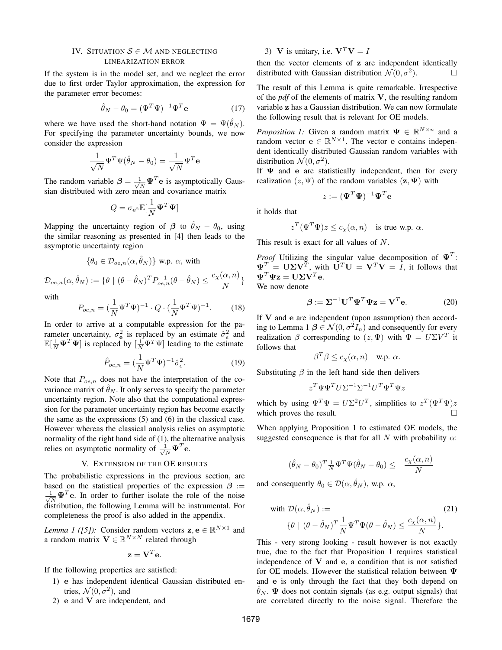## IV. SITUATION  $S \in \mathcal{M}$  and neglecting LINEARIZATION ERROR

If the system is in the model set, and we neglect the error due to first order Taylor approximation, the expression for the parameter error becomes:

$$
\hat{\theta}_N - \theta_0 = (\Psi^T \Psi)^{-1} \Psi^T \mathbf{e}
$$
 (17)

where we have used the short-hand notation  $\Psi = \Psi(\hat{\theta}_N)$ . For specifying the parameter uncertainty bounds, we now consider the expression

$$
\frac{1}{\sqrt{N}}\boldsymbol{\Psi}^T\boldsymbol{\Psi}(\hat{\theta}_N-\theta_0)=\frac{1}{\sqrt{N}}\boldsymbol{\Psi}^T\mathbf{e}
$$

The random variable  $\beta = \frac{1}{\sqrt{N}} \Psi^T e$  is asymptotically Gaussian distributed with zero mean and covariance matrix

$$
Q = \sigma_{\mathbf{e}^2} \mathbb{E}[\frac{1}{N} \mathbf{\Psi}^T \mathbf{\Psi}]
$$

Mapping the uncertainty region of  $\beta$  to  $\hat{\theta}_N - \theta_0$ , using the similar reasoning as presented in [4] then leads to the asymptotic uncertainty region

$$
\{\theta_0 \in \mathcal{D}_{oe,n}(\alpha, \hat{\theta}_N)\} \text{ w.p. } \alpha \text{, with}
$$

$$
\mathcal{D}_{oe,n}(\alpha, \hat{\theta}_N) := \{\theta \mid (\theta - \hat{\theta}_N)^T P_{oe,n}^{-1} (\theta - \hat{\theta}_N) \le \frac{c_\chi(\alpha, n)}{N}
$$

with

$$
P_{oe,n} = (\frac{1}{N} \Psi^T \Psi)^{-1} \cdot Q \cdot (\frac{1}{N} \Psi^T \Psi)^{-1}.
$$
 (18)

In order to arrive at a computable expression for the parameter uncertainty,  $\sigma_e^2$  is replaced by an estimate  $\hat{\sigma}_e^2$  and  $\mathbb{E}[\frac{1}{N}\Psi^T\Psi]$  is replaced by  $[\frac{1}{N}\Psi^T\Psi]$  leading to the estimate

$$
\hat{P}_{oe,n} = (\frac{1}{N} \Psi^T \Psi)^{-1} \hat{\sigma}_e^2.
$$
 (19)

Note that  $P_{oe,n}$  does not have the interpretation of the covariance matrix of  $\theta_N$ . It only serves to specify the parameter uncertainty region. Note also that the computational expression for the parameter uncertainty region has become exactly the same as the expressions (5) and (6) in the classical case. However whereas the classical analysis relies on asymptotic normality of the right hand side of (1), the alternative analysis relies on asymptotic normality of  $\frac{1}{\sqrt{N}} \Psi^T$ **e**.

## V. EXTENSION OF THE OE RESULTS

The probabilistic expressions in the previous section, are based on the statistical properties of the expression  $\beta$  :=  $\frac{1}{\sqrt{N}} \Psi^T$ **e**. In order to further isolate the role of the noise distribution, the following Lemma will be instrumental. For completeness the proof is also added in the appendix.

*Lemma 1 ([5]):* Consider random vectors  $z, e \in \mathbb{R}^{N \times 1}$  and a random matrix  $\mathbf{V} \in \mathbb{R}^{N \times N}$  related through

$$
\mathbf{z} = \mathbf{V}^T \mathbf{e}.
$$

If the following properties are satisfied:

- 1) **e** has independent identical Gaussian distributed entries,  $\mathcal{N}(0, \sigma^2)$ , and
- 2) **e** and **V** are independent, and

3) **V** is unitary, i.e.  $V^T V = I$ 

then the vector elements of **z** are independent identically distributed with Gaussian distribution  $\mathcal{N}(0, \sigma^2)$ .  $\Box$ 

The result of this Lemma is quite remarkable. Irrespective of the *pdf* of the elements of matrix **V**, the resulting random variable **z** has a Gaussian distribution. We can now formulate the following result that is relevant for OE models.

*Proposition 1:* Given a random matrix  $\Psi \in \mathbb{R}^{N \times n}$  and a random vector **e**  $\in \mathbb{R}^{N \times 1}$ . The vector **e** contains independent identically distributed Gaussian random variables with distribution  $\mathcal{N}(0, \sigma^2)$ .

If **Ψ** and **e** are statistically independent, then for every realization  $(z, \Psi)$  of the random variables  $(z, \Psi)$  with

$$
z := (\mathbf{\Psi}^T \mathbf{\Psi})^{-1} \mathbf{\Psi}^T \mathbf{e}
$$

it holds that

$$
z^T(\Psi^T\Psi)z \le c_\chi(\alpha, n) \quad \text{is true w.p. } \alpha.
$$

This result is exact for all values of N.

*Proof* Utilizing the singular value decomposition of **Ψ**<sup>T</sup> :  $\Psi^T = \mathbf{U} \Sigma \mathbf{V}^T$ , with  $\mathbf{U}^T \mathbf{U} = \mathbf{V}^T \mathbf{V} = I$ , it follows that  $\Psi^T \Psi \mathbf{z} = \mathbf{U} \Sigma \mathbf{V}^T \mathbf{e}.$ 

We now denote

 $\overline{N}$ <sup>}</sup>

$$
\beta := \Sigma^{-1} \mathbf{U}^T \mathbf{\Psi}^T \mathbf{\Psi} \mathbf{z} = \mathbf{V}^T \mathbf{e}.
$$
 (20)

If **V** and **e** are independent (upon assumption) then according to Lemma 1  $\beta \in \mathcal{N}(0, \sigma^2 I_n)$  and consequently for every realization  $\beta$  corresponding to  $(z, \Psi)$  with  $\Psi = U\Sigma V^T$  it follows that

$$
\beta^T \beta \le c_\chi(\alpha, n) \quad \text{w.p. } \alpha.
$$

Substituting  $\beta$  in the left hand side then delivers

$$
z^T\Psi\Psi^T U \Sigma^{-1} \Sigma^{-1} U^T \Psi^T \Psi z
$$

which by using  $\Psi^T \Psi = U \Sigma^2 U^T$ , simplifies to  $z^T (\Psi^T \Psi) z$ which proves the result.  $\Box$ 

When applying Proposition 1 to estimated OE models, the suggested consequence is that for all N with probability  $\alpha$ :

$$
(\hat{\theta}_N - \theta_0)^T \frac{1}{N} \Psi^T \Psi(\hat{\theta}_N - \theta_0) \leq \frac{c_X(\alpha, n)}{N}
$$

and consequently  $\theta_0 \in \mathcal{D}(\alpha, \hat{\theta}_N)$ , w.p.  $\alpha$ ,

with 
$$
\mathcal{D}(\alpha, \hat{\theta}_N) :=
$$
  
\n
$$
\{\theta \mid (\theta - \hat{\theta}_N)^T \frac{1}{N} \Psi^T \Psi(\theta - \hat{\theta}_N) \le \frac{c_X(\alpha, n)}{N} \}.
$$
\n(21)

This - very strong looking - result however is not exactly true, due to the fact that Proposition 1 requires statistical independence of **V** and **e**, a condition that is not satisfied for OE models. However the statistical relation between **Ψ** and **e** is only through the fact that they both depend on  $\hat{\theta}_N$ . **Ψ** does not contain signals (as e.g. output signals) that are correlated directly to the noise signal. Therefore the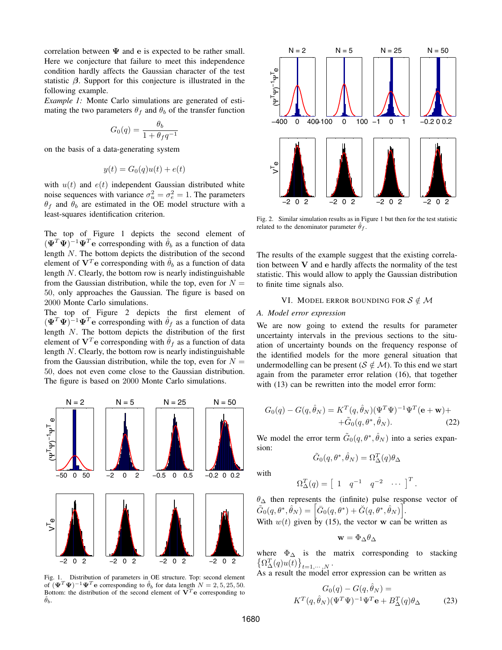correlation between  $\Psi$  and  $\mathbf{e}$  is expected to be rather small. Here we conjecture that failure to meet this independence condition hardly affects the Gaussian character of the test statistic  $\beta$ . Support for this conjecture is illustrated in the following example.

*Example 1:* Monte Carlo simulations are generated of estimating the two parameters  $\theta_f$  and  $\theta_b$  of the transfer function

$$
G_0(q) = \frac{\theta_b}{1 + \theta_f q^{-1}}
$$

on the basis of a data-generating system

$$
y(t) = G_0(q)u(t) + e(t)
$$

with  $u(t)$  and  $e(t)$  independent Gaussian distributed white noise sequences with variance  $\sigma_u^2 = \sigma_e^2 = 1$ . The parameters  $\theta_f$  and  $\theta_b$  are estimated in the OE model structure with a least-squares identification criterion.

The top of Figure 1 depicts the second element of  $(\mathbf{\Psi}^T \mathbf{\Psi})^{-1} \mathbf{\Psi}^T \mathbf{e}$  corresponding with  $\hat{\theta}_b$  as a function of data length N. The bottom depicts the distribution of the second element of  $V^T$ **e** corresponding with  $\hat{\theta}_b$  as a function of data length N. Clearly, the bottom row is nearly indistinguishable from the Gaussian distribution, while the top, even for  $N =$ 50, only approaches the Gaussian. The figure is based on 2000 Monte Carlo simulations.

The top of Figure 2 depicts the first element of  $(\mathbf{\Psi}^T \mathbf{\Psi})^{-1} \mathbf{\Psi}^T \mathbf{e}$  corresponding with  $\hat{\theta}_f$  as a function of data length N. The bottom depicts the distribution of the first element of  $V^T$ **e** corresponding with  $\hat{\theta}_f$  as a function of data length N. Clearly, the bottom row is nearly indistinguishable from the Gaussian distribution, while the top, even for  $N =$ 50, does not even come close to the Gaussian distribution. The figure is based on 2000 Monte Carlo simulations.



Fig. 1. Distribution of parameters in OE structure. Top: second element of  $(\mathbf{\Psi}^T \mathbf{\Psi})^{-1} \mathbf{\Psi}^T \mathbf{e}$  corresponding to  $\hat{\theta}_b$  for data length  $N = 2, 5, 25, 50$ . Bottom: the distribution of the second element of  $V^T$ **e** corresponding to  $\hat{\theta}_b$ .



Fig. 2. Similar simulation results as in Figure 1 but then for the test statistic related to the denominator parameter  $\hat{\theta}_f$ .

The results of the example suggest that the existing correlation between **V** and **e** hardly affects the normality of the test statistic. This would allow to apply the Gaussian distribution to finite time signals also.

# VI. MODEL ERROR BOUNDING FOR  $S \notin \mathcal{M}$

#### *A. Model error expression*

We are now going to extend the results for parameter uncertainty intervals in the previous sections to the situation of uncertainty bounds on the frequency response of the identified models for the more general situation that undermodelling can be present ( $S \notin M$ ). To this end we start again from the parameter error relation (16), that together with  $(13)$  can be rewritten into the model error form:

$$
G_0(q) - G(q, \hat{\theta}_N) = K^T(q, \hat{\theta}_N)(\Psi^T \Psi)^{-1} \Psi^T(\mathbf{e} + \mathbf{w}) +
$$
  
+  $\tilde{G}_0(q, \theta^*, \hat{\theta}_N).$  (22)

We model the error term  $\tilde{G}_0(q, \theta^*, \hat{\theta}_N)$  into a series expansion:

$$
\tilde{G}_0(q, \theta^*, \hat{\theta}_N) = \Omega_{\Delta}^T(q) \theta_{\Delta}
$$

with

$$
\Omega_{\Delta}^{T}(q) = \begin{bmatrix} 1 & q^{-1} & q^{-2} & \cdots \end{bmatrix}^{T}.
$$

 $\theta_{\Delta}$  then represents the (infinite) pulse response vector of  $\tilde{G}_0(q,\theta^*,\hat{\theta}_N)=\Big[\bar{G}_0(q,\theta^*)+\breve{G}(q,\theta^*,\hat{\theta}_N)\Big].$ 

With  $w(t)$  given by (15), the vector **w** can be written as

$$
\mathbf{w} = \Phi_{\Delta} \theta_{\Delta}
$$

where  $\Phi_{\Delta}$  is the matrix corresponding to stacking  $\left\{\Omega_{\Delta}^{T}(q)u(t)\right\}_{t=1,\cdots,N}$ .

As a result the model error expression can be written as

$$
G_0(q) - G(q, \hat{\theta}_N) =
$$
  

$$
K^T(q, \hat{\theta}_N)(\Psi^T \Psi)^{-1} \Psi^T \mathbf{e} + B^T_{\Delta}(q) \theta_{\Delta}
$$
 (23)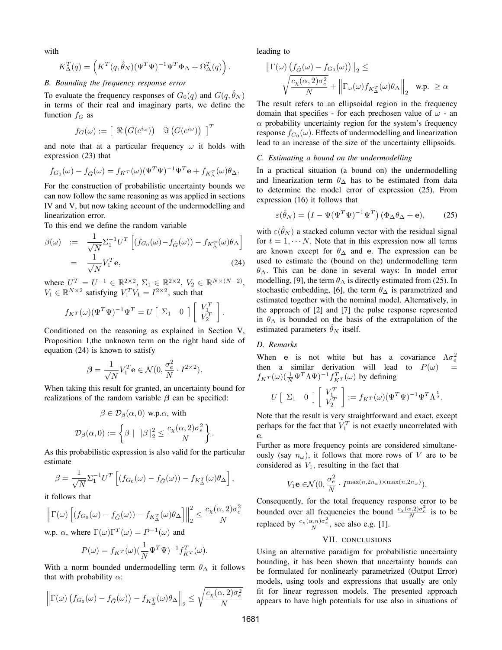with

$$
K_{\Delta}^{T}(q) = \left( K^{T}(q, \hat{\theta}_{N})(\Psi^{T}\Psi)^{-1}\Psi^{T}\Phi_{\Delta} + \Omega_{\Delta}^{T}(q) \right).
$$

## *B. Bounding the frequency response error*

To evaluate the frequency responses of  $G_0(q)$  and  $G(q, \theta_N)$ in terms of their real and imaginary parts, we define the function  $f_G$  as

$$
f_G(\omega) := \left[ \begin{array}{c} \Re \left( G(e^{i\omega}) \right) & \Im \left( G(e^{i\omega}) \right) \end{array} \right]^T
$$

and note that at a particular frequency  $\omega$  it holds with expression (23) that

$$
f_{G_0}(\omega) - f_{\hat{G}}(\omega) = f_{K^T}(\omega)(\Psi^T \Psi)^{-1} \Psi^T \mathbf{e} + f_{K^T_{\Delta}}(\omega) \theta_{\Delta}.
$$

For the construction of probabilistic uncertainty bounds we can now follow the same reasoning as was applied in sections IV and V, but now taking account of the undermodelling and linearization error.

To this end we define the random variable

$$
\beta(\omega) := \frac{1}{\sqrt{N}} \Sigma_1^{-1} U^T \left[ (f_{G_0}(\omega) - f_{\hat{G}}(\omega)) - f_{K_{\Delta}^T}(\omega) \theta_{\Delta} \right]
$$

$$
= \frac{1}{\sqrt{N}} V_1^T \mathbf{e}, \tag{24}
$$

where  $U^T = U^{-1} \in \mathbb{R}^{2 \times 2}$ ,  $\Sigma_1 \in \mathbb{R}^{2 \times 2}$ ,  $V_2 \in \mathbb{R}^{N \times (N-2)}$ ,  $V_1 \in \mathbb{R}^{N \times 2}$  satisfying  $V_1^T V_1 = I^{2 \times 2}$ , such that

$$
f_{K^{T}}(\omega)(\Psi^{T}\Psi)^{-1}\Psi^{T} = U \begin{bmatrix} \Sigma_{1} & 0 \end{bmatrix} \begin{bmatrix} V_{1}^{T} \\ V_{2}^{T} \end{bmatrix}.
$$

Conditioned on the reasoning as explained in Section V, Proposition 1,the unknown term on the right hand side of equation (24) is known to satisfy

$$
\boldsymbol{\beta} = \frac{1}{\sqrt{N}} V_1^T \mathbf{e} \in \mathcal{N}(0, \frac{\sigma_e^2}{N} \cdot I^{2 \times 2}).
$$

When taking this result for granted, an uncertainty bound for realizations of the random variable  $\beta$  can be specified:

$$
\beta \in \mathcal{D}_{\beta}(\alpha, 0) \text{ w.p.}\alpha, \text{ with}
$$

$$
\mathcal{D}_{\beta}(\alpha, 0) := \left\{ \beta \mid ||\beta||_2^2 \le \frac{c_{\chi}(\alpha, 2)\sigma_e^2}{N} \right\}
$$

.

As this probabilistic expression is also valid for the particular estimate

$$
\beta = \frac{1}{\sqrt{N}} \Sigma_1^{-1} U^T \left[ (f_{G_0}(\omega) - f_{\hat{G}}(\omega)) - f_{K_{\Delta}^T}(\omega) \theta_{\Delta} \right],
$$

it follows that

$$
\left\|\Gamma(\omega)\left[\left(f_{G_0}(\omega)-f_{\hat{G}}(\omega)\right)-f_{K_{\Delta}^T}(\omega)\theta_{\Delta}\right]\right\|_2^2 \leq \frac{c_{\chi}(\alpha,2)\sigma_e^2}{N}
$$

w.p.  $\alpha$ , where  $\Gamma(\omega)\Gamma^{T}(\omega) = P^{-1}(\omega)$  and

$$
P(\omega) = f_{K^T}(\omega) \left(\frac{1}{N} \Psi^T \Psi\right)^{-1} f_{K^T}^T(\omega).
$$

With a norm bounded undermodelling term  $\theta_{\Delta}$  it follows that with probability  $\alpha$ :

$$
\left\|\Gamma(\omega)\left(f_{G_0}(\omega)-f_{\hat{G}}(\omega)\right)-f_{K_{\Delta}^T}(\omega)\theta_{\Delta}\right\|_2 \leq \sqrt{\frac{c_{\chi}(\alpha,2)\sigma_e^2}{N}}
$$

leading to

$$
\|\Gamma(\omega) \left( f_{\hat{G}}(\omega) - f_{G_0}(\omega) \right) \|_2 \le
$$
  

$$
\sqrt{\frac{c_X(\alpha, 2)\sigma_e^2}{N}} + \left\| \Gamma_{\omega}(\omega) f_{K_{\Delta}^T}(\omega) \theta_{\Delta} \right\|_2 \quad \text{w.p. } \ge \alpha
$$

The result refers to an ellipsoidal region in the frequency domain that specifies - for each prechosen value of  $\omega$  - an  $\alpha$  probability uncertainty region for the system's frequency response  $f_{G_0}(\omega)$ . Effects of undermodelling and linearization lead to an increase of the size of the uncertainty ellipsoids.

## *C. Estimating a bound on the undermodelling*

In a practical situation (a bound on) the undermodelling and linearization term  $\theta_{\Delta}$  has to be estimated from data to determine the model error of expression (25). From expression (16) it follows that

$$
\varepsilon(\hat{\theta}_N) = \left(I - \Psi(\Psi^T \Psi)^{-1} \Psi^T\right) (\Phi_\Delta \theta_\Delta + \mathbf{e}),\tag{25}
$$

with  $\varepsilon(\hat{\theta}_N)$  a stacked column vector with the residual signal for  $t = 1, \dots N$ . Note that in this expression now all terms are known except for  $\theta_{\Delta}$  and **e**. The expression can be used to estimate the (bound on the) undermodelling term  $\theta_{\Delta}$ . This can be done in several ways: In model error modelling, [9], the term  $\theta_{\Delta}$  is directly estimated from (25). In stochastic embedding, [6], the term  $\theta_{\Delta}$  is parametrized and estimated together with the nominal model. Alternatively, in the approach of [2] and [7] the pulse response represented in  $\theta_{\Delta}$  is bounded on the basis of the extrapolation of the estimated parameters  $\theta_N$  itself.

## *D. Remarks*

When e is not white but has a covariance  $\Lambda \sigma_e^2$ then a similar derivation will lead to  $P(\omega)$  =  $f_{KT}(\omega) (\frac{1}{N} \Psi^T \Lambda \Psi)^{-1} f_{KT}^T(\omega)$  by defining

$$
U\left[\begin{array}{cc} \Sigma_1 & 0 \end{array}\right] \left[\begin{array}{c} V_1^T \\ V_2^T \end{array}\right] := f_{K^T}(\omega) (\Psi^T \Psi)^{-1} \Psi^T \Lambda^{\frac{1}{2}}.
$$

Note that the result is very straightforward and exact, except perhaps for the fact that  $V_1^T$  is not exactly uncorrelated with **e**.

Further as more frequency points are considered simultaneously (say  $n_{\omega}$ ), it follows that more rows of V are to be considered as  $V_1$ , resulting in the fact that

$$
V_1\mathbf{e}\in\!\mathcal{N}(0,\frac{\sigma^2_e}{N}\cdot I^{\max(n,2n_\omega)\times\max(n,2n_\omega)}).
$$

Consequently, for the total frequency response error to be bounded over all frequencies the bound  $\frac{c_X(\alpha,2)\sigma_e^2}{N}$  is to be replaced by  $\frac{c_x(\alpha,n)\sigma_e^2}{N}$ , see also e.g. [1].

### VII. CONCLUSIONS

Using an alternative paradigm for probabilistic uncertainty bounding, it has been shown that uncertainty bounds can be formulated for nonlinearly parametrized (Output Error) models, using tools and expressions that usually are only fit for linear regresson models. The presented approach appears to have high potentials for use also in situations of